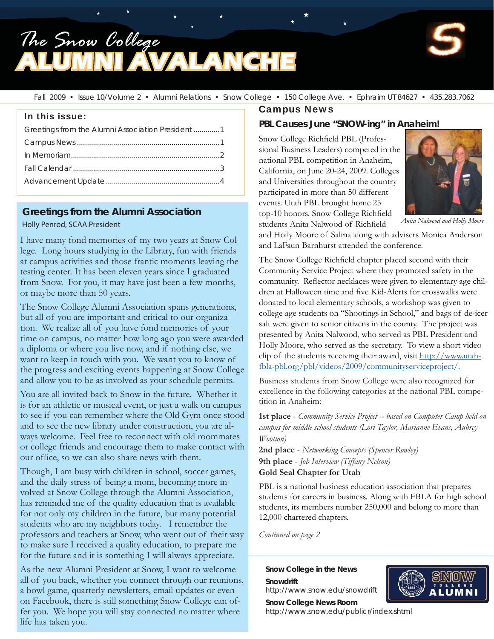## *The Snow College* **AVALANCHE**



Fall 2009 • Issue 10/Volume 2 • Alumni Relations • Snow College • 150 College Ave. • Ephraim UT 84627 • 435.283.7062

#### In this issue:

| Greetings from the Alumni Association President 1 |  |  |  |  |
|---------------------------------------------------|--|--|--|--|
|                                                   |  |  |  |  |
|                                                   |  |  |  |  |
|                                                   |  |  |  |  |
|                                                   |  |  |  |  |
|                                                   |  |  |  |  |

#### **Greetings from the Alumni Association**

#### Holly Penrod, SCAA President

I have many fond memories of my two years at Snow College. Long hours studying in the Library, fun with friends at campus activities and those frantic moments leaving the testing center. It has been eleven years since I graduated from Snow. For you, it may have just been a few months, or maybe more than 50 years.

The Snow College Alumni Association spans generations, but all of you are important and critical to our organization. We realize all of you have fond memories of your time on campus, no matter how long ago you were awarded a diploma or where you live now, and if nothing else, we want to keep in touch with you. We want you to know of the progress and exciting events happening at Snow College and allow you to be as involved as your schedule permits.

You are all invited back to Snow in the future. Whether it is for an athletic or musical event, or just a walk on campus to see if you can remember where the Old Gym once stood and to see the new library under construction, you are always welcome. Feel free to reconnect with old roommates or college friends and encourage them to make contact with our office, so we can also share news with them.

Though, I am busy with children in school, soccer games, and the daily stress of being a mom, becoming more involved at Snow College through the Alumni Association, has reminded me of the quality education that is available for not only my children in the future, but many potential students who are my neighbors today. I remember the professors and teachers at Snow, who went out of their way to make sure I received a quality education, to prepare me for the future and it is something I will always appreciate.

As the new Alumni President at Snow, I want to welcome all of you back, whether you connect through our reunions, a bowl game, quarterly newsletters, email updates or even on Facebook, there is still something Snow College can offer you. We hope you will stay connected no matter where life has taken you.

#### Campus News

#### **PBL Causes June "SNOW-ing" in Anaheim!**

Snow College Richfield PBL (Professional Business Leaders) competed in the national PBL competition in Anaheim, California, on June 20-24, 2009. Colleges and Universities throughout the country participated in more than 50 different events. Utah PBL brought home 25 top-10 honors. Snow College Richfield

students Anita Nalwood of Richfield



*Anita Nalwood and Holly Moore*

and Holly Moore of Salina along with advisers Monica Anderson and LaFaun Barnhurst attended the conference.

The Snow College Richfield chapter placed second with their Community Service Project where they promoted safety in the community. Reflector necklaces were given to elementary age children at Halloween time and five Kid-Alerts for crosswalks were donated to local elementary schools, a workshop was given to college age students on "Shootings in School," and bags of de-icer salt were given to senior citizens in the county. The project was presented by Anita Nalwood, who served as PBL President and Holly Moore, who served as the secretary. To view a short video clip of the students receiving their award, visit http://www.utahfbla-pbl.org/pbl/videos/2009/communityserviceproject/.

Business students from Snow College were also recognized for excellence in the following categories at the national PBL competition in Anaheim:

**1st place** - *Community Service Project -- based on Computer Camp held on campus for middle school students (Lori Taylor, Marianne Evans, Aubrey Wootton)*

**2nd place** - *Networking Concepts (Spencer Rowley)* **9th place** - *Job Interview (Tiffany Nelson)* **Gold Seal Chapter for Utah**

PBL is a national business education association that prepares students for careers in business. Along with FBLA for high school students, its members number 250,000 and belong to more than 12,000 chartered chapters.

*Continued on page 2*

**Snow College in the News Snowdrift**

**Snow College News Room**

http://www.snow.edu/snowdrift



http://www.snow.edu/publicr/index.shtml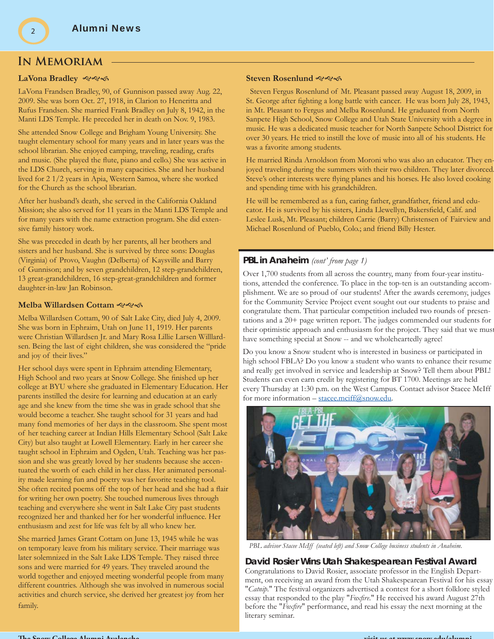#### **In Memoriam**

#### **LaVona Bradley**

LaVona Frandsen Bradley, 90, of Gunnison passed away Aug. 22, 2009. She was born Oct. 27, 1918, in Clarion to Heneritta and Rufus Frandsen. She married Frank Bradley on July 8, 1942, in the Manti LDS Temple. He preceded her in death on Nov. 9, 1983.

She attended Snow College and Brigham Young University. She taught elementary school for many years and in later years was the school librarian. She enjoyed camping, traveling, reading, crafts and music. (She played the flute, piano and cello.) She was active in the LDS Church, serving in many capacities. She and her husband lived for 2 1/2 years in Apia, Western Samoa, where she worked for the Church as the school librarian.

After her husband's death, she served in the California Oakland Mission; she also served for 11 years in the Manti LDS Temple and for many years with the name extraction program. She did extensive family history work.

She was preceded in death by her parents, all her brothers and sisters and her husband. She is survived by three sons: Douglas (Virginia) of Provo, Vaughn (Delberta) of Kaysville and Barry of Gunnison; and by seven grandchildren, 12 step-grandchildren, 13 great-grandchildren, 16 step-great-grandchildren and former daughter-in-law Jan Robinson.

#### **Melba Willardsen Cottam**

Melba Willardsen Cottam, 90 of Salt Lake City, died July 4, 2009. She was born in Ephraim, Utah on June 11, 1919. Her parents were Christian Willardsen Jr. and Mary Rosa Lillie Larsen Willlardsen. Being the last of eight children, she was considered the "pride and joy of their lives."

Her school days were spent in Ephraim attending Elementary, High School and two years at Snow College. She finished up her college at BYU where she graduated in Elementary Education. Her parents instilled the desire for learning and education at an early age and she knew from the time she was in grade school that she would become a teacher. She taught school for 31 years and had many fond memories of her days in the classroom. She spent most of her teaching career at Indian Hills Elementary School (Salt Lake City) but also taught at Lowell Elementary. Early in her career she taught school in Ephraim and Ogden, Utah. Teaching was her passion and she was greatly loved by her students because she accentuated the worth of each child in her class. Her animated personality made learning fun and poetry was her favorite teaching tool. She often recited poems off the top of her head and she had a flair for writing her own poetry. She touched numerous lives through teaching and everywhere she went in Salt Lake City past students recognized her and thanked her for her wonderful influence. Her enthusiasm and zest for life was felt by all who knew her.

She married James Grant Cottam on June 13, 1945 while he was on temporary leave from his military service. Their marriage was later solemnized in the Salt Lake LDS Temple. They raised three sons and were married for 49 years. They traveled around the world together and enjoyed meeting wonderful people from many different countries. Although she was involved in numerous social activities and church service, she derived her greatest joy from her family.

#### **Steven Rosenlund**

 Steven Fergus Rosenlund of Mt. Pleasant passed away August 18, 2009, in St. George after fighting a long battle with cancer. He was born July 28, 1943, in Mt. Pleasant to Fergus and Melba Rosenlund. He graduated from North Sanpete High School, Snow College and Utah State University with a degree in music. He was a dedicated music teacher for North Sanpete School District for over 30 years. He tried to instill the love of music into all of his students. He was a favorite among students.

He married Rinda Arnoldson from Moroni who was also an educator. They enjoyed traveling during the summers with their two children. They later divorced Steve's other interests were flying planes and his horses. He also loved cooking and spending time with his grandchildren.

He will be remembered as a fun, caring father, grandfather, friend and educator. He is survived by his sisters, Linda Llewellyn, Bakersfield, Calif. and Leslee Lusk, Mt. Pleasant; children Carrie (Barry) Christensen of Fairview and Michael Rosenlund of Pueblo, Colo.; and friend Billy Hester.

#### **PBL in Anaheim** *(cont' from page 1)*

Over 1,700 students from all across the country, many from four-year institutions, attended the conference. To place in the top-ten is an outstanding accomplishment. We are so proud of our students! After the awards ceremony, judges for the Community Service Project event sought out our students to praise and congratulate them. That particular competition included two rounds of presentations and a 20+ page written report. The judges commended our students for their optimistic approach and enthusiasm for the project. They said that we mus have something special at Snow -- and we wholeheartedly agree!

Do you know a Snow student who is interested in business or participated in high school FBLA? Do you know a student who wants to enhance their resume and really get involved in service and leadership at Snow? Tell them about PBL! Students can even earn credit by registering for BT 1700. Meetings are held every Thursday at 1:30 p.m. on the West Campus. Contact advisor Stacee McIff for more information – stacee.mciff@snow.edu.



*PBL advisor Stacee McIff (seated left) and Snow College business students in Anaheim.*

#### **David Rosier Wins Utah Shakespearean Festival Award**

Congratulations to David Rosier, associate professor in the English Department, on receiving an award from the Utah Shakespearean Festival for his essay "*Catnip*." The festival organizers advertised a contest for a short folklore styled essay that responded to the play "*Foxfire*." He received his award August 27th before the "*Foxfire*" performance, and read his essay the next morning at the literary seminar.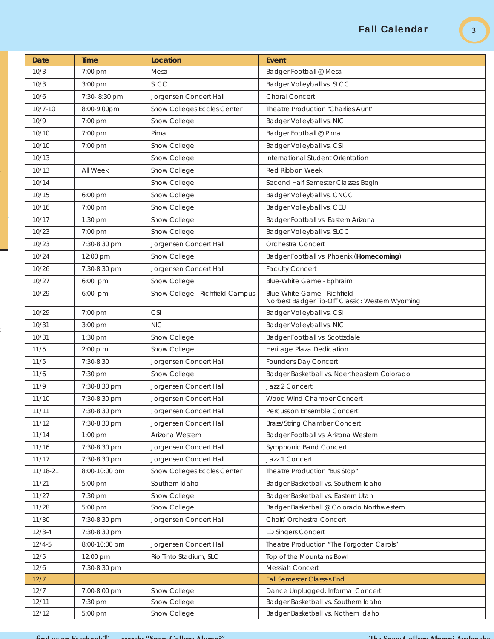### Fall Calendar

| <b>Date</b> | Time          | Location                        | Event                                                                          |
|-------------|---------------|---------------------------------|--------------------------------------------------------------------------------|
| 10/3        | 7:00 pm       | Mesa                            | Badger Football @ Mesa                                                         |
| 10/3        | $3:00$ pm     | <b>SLCC</b>                     | Badger Volleyball vs. SLCC                                                     |
| 10/6        | 7:30-8:30 pm  | Jorgensen Concert Hall          | Choral Concert                                                                 |
| $10/7 - 10$ | 8:00-9:00pm   | Snow Colleges Eccles Center     | Theatre Production "Charlies Aunt"                                             |
| 10/9        | 7:00 pm       | Snow College                    | Badger Volleyball vs. NIC                                                      |
| 10/10       | 7:00 pm       | Pima                            | Badger Football @ Pima                                                         |
| 10/10       | 7:00 pm       | Snow College                    | Badger Volleyball vs. CSI                                                      |
| 10/13       |               | Snow College                    | International Student Orientation                                              |
| 10/13       | All Week      | Snow College                    | Red Ribbon Week                                                                |
| 10/14       |               | Snow College                    | Second Half Semester Classes Begin                                             |
| 10/15       | $6:00$ pm     | Snow College                    | Badger Volleyball vs. CNCC                                                     |
| 10/16       | 7:00 pm       | Snow College                    | Badger Volleyball vs. CEU                                                      |
| 10/17       | 1:30 pm       | Snow College                    | Badger Football vs. Eastern Arizona                                            |
| 10/23       | 7:00 pm       | Snow College                    | Badger Volleyball vs. SLCC                                                     |
| 10/23       | 7:30-8:30 pm  | Jorgensen Concert Hall          | Orchestra Concert                                                              |
| 10/24       | 12:00 pm      | Snow College                    | Badger Football vs. Phoenix (Homecoming)                                       |
| 10/26       | 7:30-8:30 pm  | Jorgensen Concert Hall          | <b>Faculty Concert</b>                                                         |
| 10/27       | 6:00 pm       | Snow College                    | Blue-White Game - Ephraim                                                      |
| 10/29       | 6:00 pm       | Snow College - Richfield Campus | Blue-White Game - Richfield<br>Norbest Badger Tip-Off Classic: Western Wyoming |
| 10/29       | 7:00 pm       | <b>CSI</b>                      | Badger Volleyball vs. CSI                                                      |
| 10/31       | 3:00 pm       | <b>NIC</b>                      | Badger Volleyball vs. NIC                                                      |
| 10/31       | $1:30$ pm     | Snow College                    | Badger Football vs. Scottsdale                                                 |
| 11/5        | 2:00 p.m.     | Snow College                    | Heritage Plaza Dedication                                                      |
| 11/5        | 7:30-8:30     | Jorgensen Concert Hall          | Founder's Day Concert                                                          |
| 11/6        | 7:30 pm       | Snow College                    | Badger Basketball vs. Noertheastern Colorado                                   |
| 11/9        | 7:30-8:30 pm  | Jorgensen Concert Hall          | Jazz 2 Concert                                                                 |
| 11/10       | 7:30-8:30 pm  | Jorgensen Concert Hall          | Wood Wind Chamber Concert                                                      |
| 11/11       | 7:30-8:30 pm  | Jorgensen Concert Hall          | Percussion Ensemble Concert                                                    |
| 11/12       | 7:30-8:30 pm  | Jorgensen Concert Hall          | <b>Brass/String Chamber Concert</b>                                            |
| 11/14       | $1:00$ pm     | Arizona Western                 | Badger Football vs. Arizona Western                                            |
| 11/16       | 7:30-8:30 pm  | Jorgensen Concert Hall          | <b>Symphonic Band Concert</b>                                                  |
| 11/17       | 7:30-8:30 pm  | Jorgensen Concert Hall          | Jazz 1 Concert                                                                 |
| 11/18-21    | 8:00-10:00 pm | Snow Colleges Eccles Center     | Theatre Production "Bus Stop"                                                  |
| 11/21       | 5:00 pm       | Southern Idaho                  | Badger Basketball vs. Southern Idaho                                           |
| 11/27       | 7:30 pm       | Snow College                    | Badger Basketball vs. Eastern Utah                                             |
| 11/28       | $5:00$ pm     | Snow College                    | Badger Basketball @ Colorado Northwestern                                      |
| 11/30       | 7:30-8:30 pm  | Jorgensen Concert Hall          | Choir/ Orchestra Concert                                                       |
| $12/3 - 4$  | 7:30-8:30 pm  |                                 | LD Singers Concert                                                             |
| $12/4 - 5$  | 8:00-10:00 pm | Jorgensen Concert Hall          | Theatre Production "The Forgotten Carols"                                      |
| 12/5        | 12:00 pm      | Rio Tinto Stadium, SLC          | Top of the Mountains Bowl                                                      |
| 12/6        | 7:30-8:30 pm  |                                 | Messiah Concert                                                                |
| 12/7        |               |                                 | <b>Fall Semester Classes End</b>                                               |
| 12/7        | 7:00-8:00 pm  | Snow College                    | Dance Unplugged: Informal Concert                                              |
| 12/11       | 7:30 pm       | Snow College                    | Badger Basketball vs. Southern Idaho                                           |
| 12/12       | 5:00 pm       | Snow College                    | Badger Basketball vs. Nothern Idaho                                            |

t

-